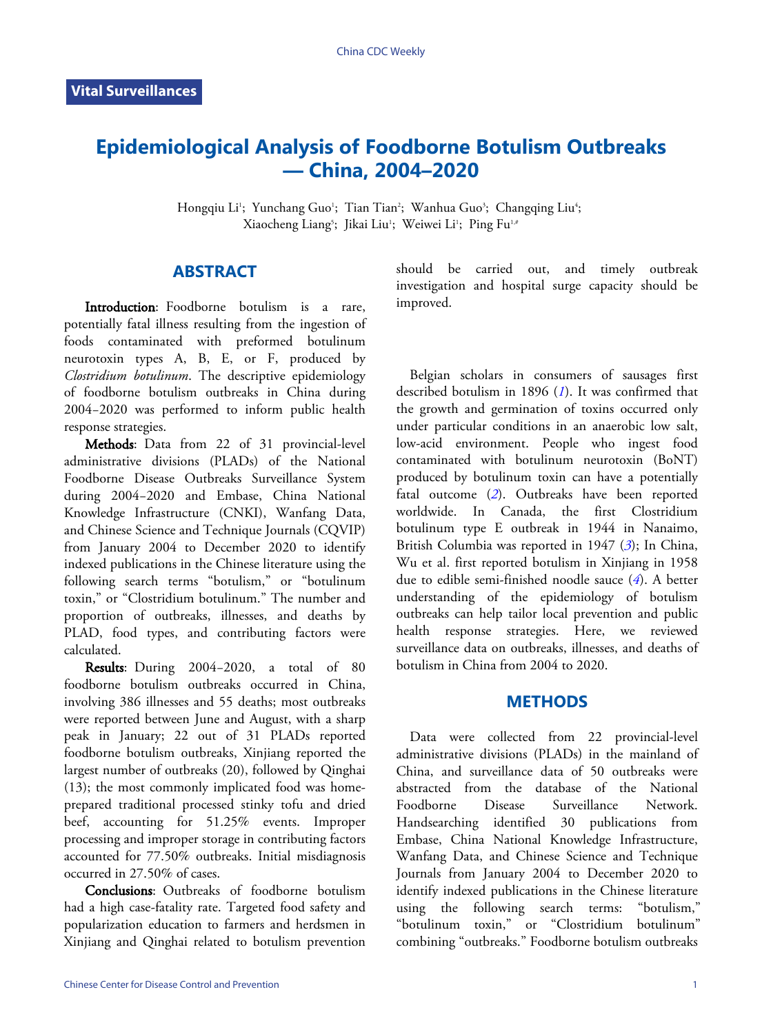# **Epidemiological Analysis of Foodborne Botulism Outbreaks — China, 2004–2020**

Hongqiu Li<sup>1</sup>; Yunchang Guo<sup>1</sup>; Tian Tian<sup>2</sup>; Wanhua Guo<sup>3</sup>; Changqing Liu<sup>4</sup>; Xiaocheng Liang<sup>s</sup>; Jikai Liu'; Weiwei Li'; Ping Fu'<sub>'</sub>

## **ABSTRACT**

Introduction: Foodborne botulism is a rare, potentially fatal illness resulting from the ingestion of foods contaminated with preformed botulinum neurotoxin types A, B, E, or F, produced by *Clostridium botulinum*. The descriptive epidemiology of foodborne botulism outbreaks in China during 2004−2020 was performed to inform public health response strategies.

Methods: Data from 22 of 31 provincial-level administrative divisions (PLADs) of the National Foodborne Disease Outbreaks Surveillance System during 2004−2020 and Embase, China National Knowledge Infrastructure (CNKI), Wanfang Data, and Chinese Science and Technique Journals (CQVIP) from January 2004 to December 2020 to identify indexed publications in the Chinese literature using the following search terms "botulism," or "botulinum toxin," or "Clostridium botulinum." The number and proportion of outbreaks, illnesses, and deaths by PLAD, food types, and contributing factors were calculated.

Results: During 2004−2020, a total of 80 foodborne botulism outbreaks occurred in China, involving 386 illnesses and 55 deaths; most outbreaks were reported between June and August, with a sharp peak in January; 22 out of 31 PLADs reported foodborne botulism outbreaks, Xinjiang reported the largest number of outbreaks (20), followed by Qinghai (13); the most commonly implicated food was homeprepared traditional processed stinky tofu and dried beef, accounting for 51.25% events. Improper processing and improper storage in contributing factors accounted for 77.50% outbreaks. Initial misdiagnosis occurred in 27.50% of cases.

Conclusions: Outbreaks of foodborne botulism had a high case-fatality rate. Targeted food safety and popularization education to farmers and herdsmen in Xinjiang and Qinghai related to botulism prevention

should be carried out, and timely outbreak investigation and hospital surge capacity should be improved.

Belgian scholars in consumers of sausages first described botulism in 1896 (*[1](#page-4-0)*). It was confirmed that the growth and germination of toxins occurred only under particular conditions in an anaerobic low salt, low-acid environment. People who ingest food contaminated with botulinum neurotoxin (BoNT) produced by botulinum toxin can have a potentially fatal outcome (*[2](#page-4-1)*). Outbreaks have been reported worldwide. In Canada, the first Clostridium botulinumtype E outbreak [in](#page-4-2) 1944 in Nanaimo, British Columbia was reported in 1947 (*[3](#page-4-2)*); In China, Wu et al. first reported botulism in Xinji[an](#page-4-3)g in 1958 due to edible semi-finished noodle sauce (*[4](#page-4-3)*). A better understanding of the epidemiology of botulism outbreaks can help tailor local prevention and public health response strategies. Here, we reviewed surveillance data on outbreaks, illnesses, and deaths of botulism in China from 2004 to 2020.

#### **METHODS**

Data were collected from 22 provincial-level administrative divisions (PLADs) in the mainland of China, and surveillance data of 50 outbreaks were abstracted from the database of the National Foodborne Disease Surveillance Network. Handsearching identified 30 publications from Embase, China National Knowledge Infrastructure, Wanfang Data, and Chinese Science and Technique Journals from January 2004 to December 2020 to identify indexed publications in the Chinese literature using the following search terms: "botulism," "botulinum toxin," or "Clostridium botulinum" combining "outbreaks." Foodborne botulism outbreaks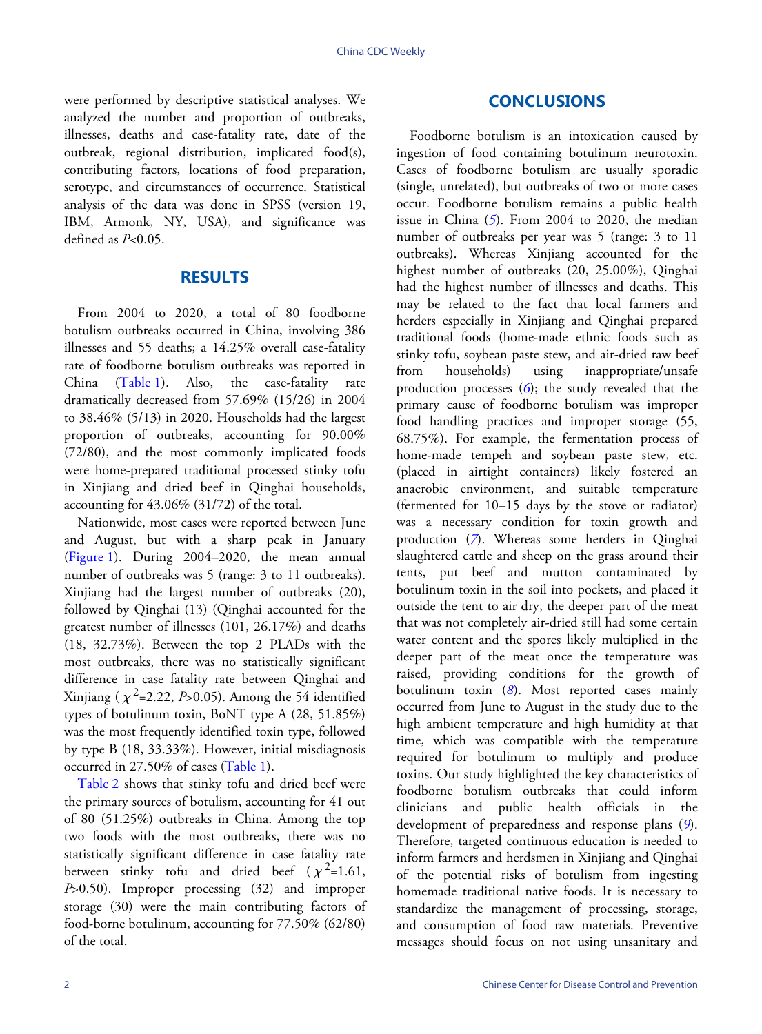were performed by descriptive statistical analyses. We analyzed the number and proportion of outbreaks, illnesses, deaths and case-fatality rate, date of the outbreak, regional distribution, implicated food(s), contributing factors, locations of food preparation, serotype, and circumstances of occurrence. Statistical analysis of the data was done in SPSS (version 19, IBM, Armonk, NY, USA), and significance was defined as *P*<0.05.

### **RESULTS**

From 2004 to 2020, a total of 80 foodborne botulism outbreaks occurred in China, involving 386 illnesses and 55 deaths; a 14.25% overall case-fatality rate of fo[odborne](#page-2-0) botulism outbreaks was reported in China[\(Table 1\)](#page-2-0). Also, the case-fatality rate dramatically decreased from 57.69% (15/26) in 2004 to 38.46% (5/13) in 2020. Households had the largest proportion of outbreaks, accounting for 90.00% (72/80), and the most commonly implicated foods were home-prepared traditional processed stinky tofu in Xinjiang and dried beef in Qinghai households, accounting for 43.06% (31/72) of the total.

Nationwide, most cases were reported between June and August, but with a sharp peak in January (Figure 1). During 2004–2020, the mean annual number of outbreaks was 5 (range: 3 to 11 outbreaks). Xinjiang had the largest number of outbreaks (20), followed by Qinghai (13) (Qinghai accounted for the greatest number of illnesses (101, 26.17%) and deaths (18, 32.73%). Between the top 2 PLADs with the most outbreaks, there was no statistically significant difference in case fatality rate between Qinghai and Xinjiang ( $\chi^2$ =2.22, *P*>0.05). Among the 54 identified types of botulinum toxin, BoNT type A (28, 51.85%) was the most frequently iden[tified to](#page-2-0)xin type, followed b[y type B](#page-3-0) (18, 33.33%). However, initial misdiagnosis occurred in 27.50% of cases ([Table 1](#page-2-0)).

[Table 2](#page-3-0) shows that stinky tofu and dried beef were the primary sources of botulism, accounting for 41 out of 80 (51.25%) outbreaks in China. Among the top two foods with the most outbreaks, there was no statistically significant difference in case fatality rate between stinky tofu and dried beef  $(\chi^2=1.61,$ *P*>0.50). Improper processing (32) and improper storage (30) were the main contributing factors of food-borne botulinum, accounting for 77.50% (62/80) of the total.

# **CONCLUSIONS**

Foodborne botulism is an intoxication caused by ingestion of food containing botulinum neurotoxin. Cases of foodborne botulism are usually sporadic (single, unrelated), but outbreaks of two or more cases occur. Foodborne botulism remains a public health issue in China (*[5](#page-4-4)*). From 2004 to 2020, the median number of outbreaks per year was 5 (range: 3 to 11 outbreaks). Whereas Xinjiang accounted for the highest number of outbreaks (20, 25.00%), Qinghai had the highest number of illnesses and deaths. This may be related to the fact that local farmers and herders especially in Xinjiang and Qinghai prepared traditional foods (home-made ethnic foods such as stinky tofu, soybean paste stew, and air-dried raw beef from households) using inappropriate/unsafe production processes (*[6](#page-4-5)*); the study revealed that the primary cause of foodborne botulism was improper food handling practices and improper storage (55, 68.75%). For example, the fermentation process of home-made tempeh and soybean paste stew, etc. (placed in airtight containers) likely fostered an anaerobic environment, and suitable temperature (fermented for 10–15 days by the stove or radiator) was a necessary condition for toxin growth and production (*[7](#page-4-6)*). Whereas some herders in Qinghai slaughtered cattle and sheep on the grass around their tents, put beef and mutton contaminated by botulinum toxin in the soil into pockets, and placed it outside the tent to air dry, the deeper part of the meat that was not completely air-dried still had some certain water content and the spores likely multiplied in the deeper part of the meat once the temperature was raised, providing conditions for the growth of botulinum toxin (*[8](#page-4-7)*). Most reported cases mainly occurred from June to August in the study due to the high ambient temperature and high humidity at that time, which was compatible with the temperature required for botulinum to multiply and produce toxins. Our study highlighted the key characteristics of foodborne botulism outbreaks that could inform clinicians and public health officials in the development of preparedness and response plans (*[9](#page-4-8)*). Therefore, targeted continuous education is needed to inform farmers and herdsmen in Xinjiang and Qinghai of the potential risks of botulism from ingesting homemade traditional native foods. It is necessary to standardize the management of processing, storage, and consumption of food raw materials. Preventive messages should focus on not using unsanitary and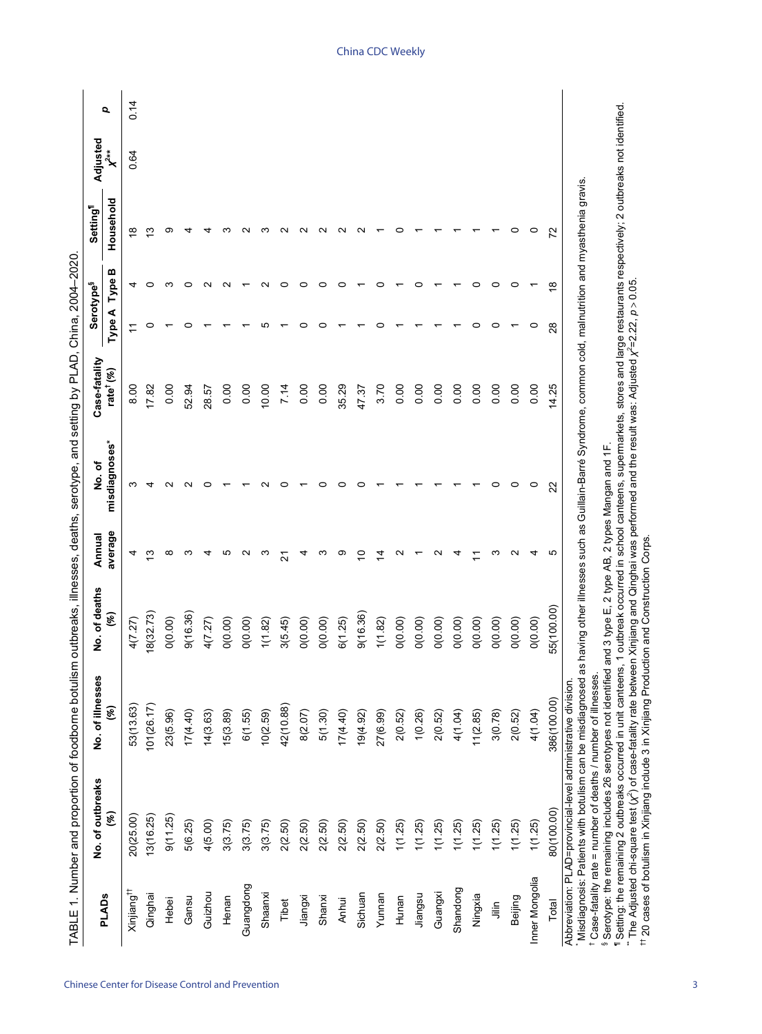<span id="page-2-0"></span>

|                        | No. of outbreaks                                                                                                                         | No. of illnesses                                            | No. of deaths | Annual  | No.of                                                                                                    | Case-fatality         | Serotype <sup>§</sup> |               | Setting <sup>1</sup> | Adjusted |      |
|------------------------|------------------------------------------------------------------------------------------------------------------------------------------|-------------------------------------------------------------|---------------|---------|----------------------------------------------------------------------------------------------------------|-----------------------|-----------------------|---------------|----------------------|----------|------|
| <b>PLADs</b>           | $(\%)$                                                                                                                                   | (%)                                                         | $\mathscr{E}$ | average | misdiagnoses*                                                                                            | rate <sup>†</sup> (%) | Type A                | ≃<br>Type     | Household            |          | Q    |
| Xinjiang <sup>††</sup> | 20(25.00)                                                                                                                                | 53(13.63)                                                   | 4(7.27)       |         |                                                                                                          | 8.00                  |                       | 4             | ∞                    | 0.64     | 0.14 |
| Qinghai                | 13(16.25)                                                                                                                                | 101(26.17)                                                  | 18(32.73)     | ო       |                                                                                                          | 17.82                 | 0                     | 0             | ო                    |          |      |
| Hebei                  | 9(11.25)                                                                                                                                 | 23(5.96)                                                    | O(0.00)       | ∞       |                                                                                                          | 0.00                  |                       | ო             | ග                    |          |      |
| Gansu                  | 5(6.25)                                                                                                                                  | 17(4.40)                                                    | 9(16.36)      |         |                                                                                                          | 52.94                 |                       | o             |                      |          |      |
| Guizhou                | 4(5.00)                                                                                                                                  | 14(3.63)                                                    | 4(7.27)       |         |                                                                                                          | 28.57                 |                       |               |                      |          |      |
| Henan                  | 3(3.75)                                                                                                                                  | 15(3.89)                                                    | O(0.00)       | ю       |                                                                                                          | 0.00                  |                       |               |                      |          |      |
| Guangdong              | 3(3.75)                                                                                                                                  | 6(1.55)                                                     | O(0.00)       |         |                                                                                                          | 0.00                  |                       |               |                      |          |      |
| Shaanxi                | 3(3.75)                                                                                                                                  | 10(2.59)                                                    | 1(1.82)       | ო       |                                                                                                          | 10.00                 | ഥ                     | $\sim$        |                      |          |      |
| Tibet                  | 2(2.50)                                                                                                                                  | 42(10.88)                                                   | 3(5.45)       | ম       | o                                                                                                        | 7.14                  |                       | ○             |                      |          |      |
| Jiangxi                | 2(2.50)                                                                                                                                  | 8(2.07)                                                     | O(0.00)       | 4       |                                                                                                          | 0.00                  |                       |               |                      |          |      |
| Shanxi                 | 2(2.50)                                                                                                                                  | 5(1.30)                                                     | O(0.00)       | က       | C                                                                                                        | 0.00                  | c                     | 0             |                      |          |      |
| Anhui                  | 2(2.50)                                                                                                                                  | 17(4.40)                                                    | 6(1.25)       | တ       | c                                                                                                        | 35.29                 |                       | o             |                      |          |      |
| Sichuan                | 2(2.50)                                                                                                                                  | (36.49)                                                     | 9(16.36)      | S       | c                                                                                                        | 47.37                 |                       |               |                      |          |      |
| Yunnan                 | 2(2.50)                                                                                                                                  | 27(6.99)                                                    | 1(1.82)       | 4       |                                                                                                          | 3.70                  |                       | c             |                      |          |      |
| Hunan                  | 1(1.25)                                                                                                                                  | 2(0.52)                                                     | O(0.00)       | N       |                                                                                                          | 0.00                  |                       |               |                      |          |      |
| Jiangsu                | 1(1.25)                                                                                                                                  | 1(0.26)                                                     | O(0.00)       |         |                                                                                                          | 0.00                  |                       |               |                      |          |      |
| Guangxi                | 1(1.25)                                                                                                                                  | 2(0.52)                                                     | O(0.00)       |         |                                                                                                          | 0.00                  |                       |               |                      |          |      |
| Shandong               | 1(1.25)                                                                                                                                  | 4(1.04)                                                     | O(0.00)       |         |                                                                                                          | 0.00                  |                       |               |                      |          |      |
| Ningxia                | 1(1.25)                                                                                                                                  | 11(2.85)                                                    | O(0.00)       |         |                                                                                                          | 0.00                  | 0                     | 0             |                      |          |      |
| $\bar{m}$              | 1(1.25)                                                                                                                                  | 3(0.78)                                                     | O(0.00)       | ო       | 0                                                                                                        | 0.00                  | 0                     | 0             |                      |          |      |
| Beijing                | 1(1.25)                                                                                                                                  | 2(0.52)                                                     | O(0.00)       | ∾       | 0                                                                                                        | 0.00                  |                       | 0             | 0                    |          |      |
| Inner Mongolia         | 1(1.25)                                                                                                                                  | 4(1.04)                                                     | O(0.00)       | 4       | $\circ$                                                                                                  | 0.00                  | 0                     |               | $\circ$              |          |      |
| Total                  | 80(100.00)                                                                                                                               | 386(100.00)                                                 | 55(100.00)    | Ю       | 22                                                                                                       | 14.25                 | 28                    | $\frac{8}{1}$ | 22                   |          |      |
|                        | <sup>t</sup> Case-fatality rate = number of deaths / number of illnesses.<br>Abbreviation: PLAD=provincial-level administrative division | Misdiagnosis: Patients with botulism can be misdiagnosed as |               |         | having other illnesses such as Guillain-Barré Syndrome, common cold, malnutrition and myasthenia gravis. |                       |                       |               |                      |          |      |
|                        | <sup>8</sup> Serotype: the remaining includes 26 serotypes not identified and 3 type E, 2 type AB, 2 types Mangan and 1F                 |                                                             |               |         |                                                                                                          |                       |                       |               |                      |          |      |

Chinese Center for Disease Control and Prevention 3

¶ Setting: the remaining 2 outbreaks occurred in unit canteens, 1 outbreak occurred in school canteens, supermarkets, stores and large restaurants respectively; 2 outbreaks not identified.

 $\gamma$ 

=2.22, *p*>0.05.

) of case-fatality rate between Xinjiang and Qinghai was performed and the result was: Adjusted *χ*

\*\* The Adjusted chi-square test (*χ*

 $\gamma$ 

 $<sup>††</sup>$  20 cases of botulism in Xinjiang include 3 in Xinjiang Production and Construction Corps.</sup>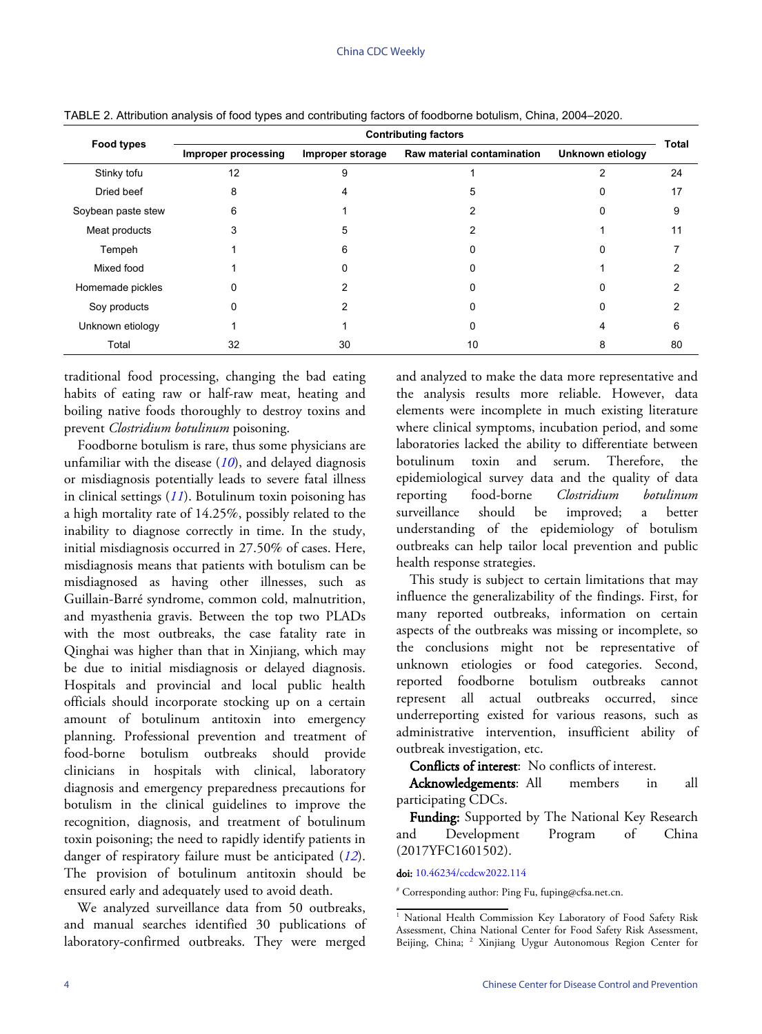| <b>Food types</b>  | <b>Contributing factors</b> |                  |                            |                  | <b>Total</b> |
|--------------------|-----------------------------|------------------|----------------------------|------------------|--------------|
|                    | <b>Improper processing</b>  | Improper storage | Raw material contamination | Unknown etiology |              |
| Stinky tofu        | 12                          | 9                |                            |                  | 24           |
| Dried beef         | 8                           |                  | 5                          |                  | 17           |
| Soybean paste stew | 6                           |                  |                            | 0                | 9            |
| Meat products      | 3                           | 5                |                            |                  | 11           |
| Tempeh             |                             | ี                |                            |                  |              |
| Mixed food         |                             |                  |                            |                  |              |
| Homemade pickles   |                             |                  |                            |                  |              |
| Soy products       |                             |                  |                            |                  |              |
| Unknown etiology   |                             |                  |                            | 4                | 6            |
| Total              | 32                          | 30               | 10                         | 8                | 80           |

<span id="page-3-0"></span>TABLE 2. Attribution analysis of food types and contributing factors of foodborne botulism, China, 2004–2020.

traditional food processing, changing the bad eating habits of eating raw or half-raw meat, heating and boiling native foods thoroughly to destroy toxins and prevent *Clostridium botulinum* poisoning.

Foodborne botulism is rare, thus some physicians are unfamiliar with the disease (*[10](#page-4-9)*), and delayed diagnosis or misdiagnosis potentially leads to severe fatal illness in clinical settings (*[11](#page-4-10)*). Botulinum toxin poisoning has a high mortality rate of 14.25%, possibly related to the inability to diagnose correctly in time. In the study, initial misdiagnosis occurred in 27.50% of cases. Here, misdiagnosis means that patients with botulism can be misdiagnosed as having other illnesses, such as Guillain-Barré syndrome, common cold, malnutrition, and myasthenia gravis. Between the top two PLADs with the most outbreaks, the case fatality rate in Qinghai was higher than that in Xinjiang, which may be due to initial misdiagnosis or delayed diagnosis. Hospitals and provincial and local public health officials should incorporate stocking up on a certain amount of botulinum antitoxin into emergency planning. Professional prevention and treatment of food-borne botulism outbreaks should provide clinicians in hospitals with clinical, laboratory diagnosis and emergency preparedness precautions for botulism in the clinical guidelines to improve the recognition, diagnosis, and treatment of botulinum toxin poisoning; the need to rapidly identify patien[ts i](#page-4-11)n danger of respiratory failure must be anticipated (*[12](#page-4-11)*). The provision of botulinum antitoxin should be ensured early and adequately used to avoid death.

We analyzed surveillance data from 50 outbreaks, and manual searches identified 30 publications of laboratory-confirmed outbreaks. They were merged

and analyzed to make the data more representative and the analysis results more reliable. However, data elements were incomplete in much existing literature where clinical symptoms, incubation period, and some laboratories lacked the ability to differentiate between botulinum toxin and serum. Therefore, the epidemiological survey data and the quality of data reporting food-borne *Clostridium botulinum* surveillance should be improved; a better understanding of the epidemiology of botulism outbreaks can help tailor local prevention and public health response strategies.

This study is subject to certain limitations that may influence the generalizability of the findings. First, for many reported outbreaks, information on certain aspects of the outbreaks was missing or incomplete, so the conclusions might not be representative of unknown etiologies or food categories. Second, reported foodborne botulism outbreaks cannot represent all actual outbreaks occurred, since underreporting existed for various reasons, such as administrative intervention, insufficient ability of outbreak investigation, etc.

Conflicts of interest: No conflicts of interest.

Acknowledgements: All members in all participating CDCs.

Funding: Supported by The National Key Research and Development Program of China (2017YFC1601502).

doi: [10.46234/ccdcw2022.114](https://doi.org/10.46234/ccdcw2022.114)

# Corresponding author: Ping Fu, fuping@cfsa.net.cn.

<sup>&</sup>lt;sup>1</sup> National Health Commission Key Laboratory of Food Safety Risk Assessment, China National Center for Food Safety Risk Assessment, Beijing, China; <sup>2</sup> Xinjiang Uygur Autonomous Region Center for